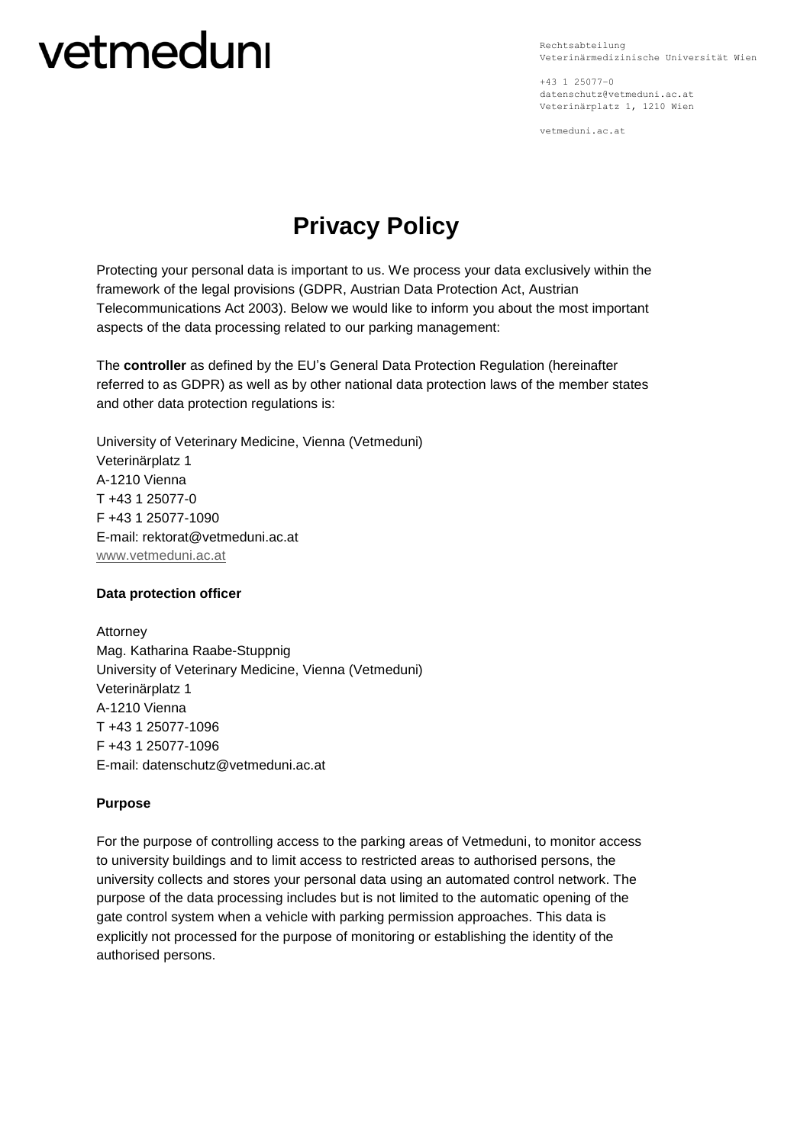# vetmeduni

Rechtsabteilung Veterinärmedizinische Universität Wien

+43 1 25077–0 datenschutz@vetmeduni.ac.at Veterinärplatz 1, 1210 Wien

vetmeduni.ac.at

# **Privacy Policy**

Protecting your personal data is important to us. We process your data exclusively within the framework of the legal provisions (GDPR, Austrian Data Protection Act, Austrian Telecommunications Act 2003). Below we would like to inform you about the most important aspects of the data processing related to our parking management:

The **controller** as defined by the EU's General Data Protection Regulation (hereinafter referred to as GDPR) as well as by other national data protection laws of the member states and other data protection regulations is:

University of Veterinary Medicine, Vienna (Vetmeduni) Veterinärplatz 1 A-1210 Vienna T +43 1 25077-0 F +43 1 25077-1090 E-mail: rektorat@vetmeduni.ac.at [www.vetmeduni.ac.at](http://www.vetmeduni.ac.at/)

## **Data protection officer**

Attorney Mag. Katharina Raabe-Stuppnig University of Veterinary Medicine, Vienna (Vetmeduni) Veterinärplatz 1 A-1210 Vienna T +43 1 25077-1096 F +43 1 25077-1096 E-mail: datenschutz@vetmeduni.ac.at

# **Purpose**

For the purpose of controlling access to the parking areas of Vetmeduni, to monitor access to university buildings and to limit access to restricted areas to authorised persons, the university collects and stores your personal data using an automated control network. The purpose of the data processing includes but is not limited to the automatic opening of the gate control system when a vehicle with parking permission approaches. This data is explicitly not processed for the purpose of monitoring or establishing the identity of the authorised persons.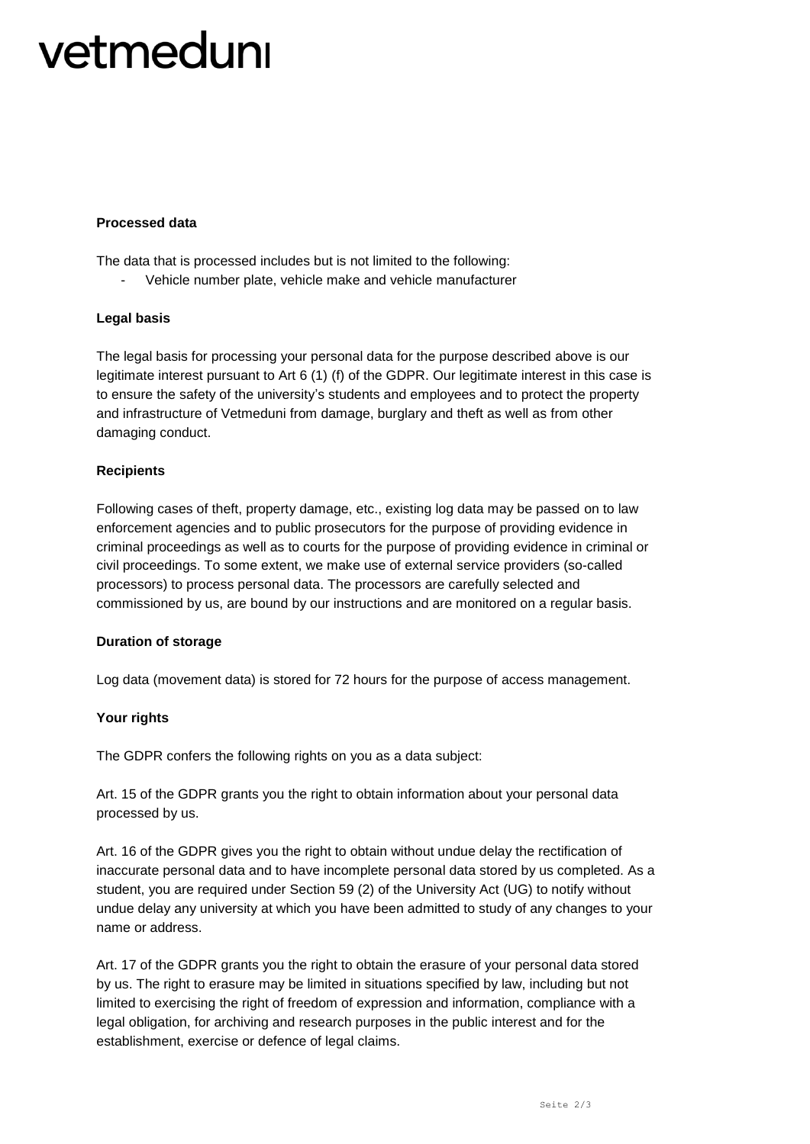# vetmeduni

## **Processed data**

The data that is processed includes but is not limited to the following:

- Vehicle number plate, vehicle make and vehicle manufacturer

#### **Legal basis**

The legal basis for processing your personal data for the purpose described above is our legitimate interest pursuant to Art 6 (1) (f) of the GDPR. Our legitimate interest in this case is to ensure the safety of the university's students and employees and to protect the property and infrastructure of Vetmeduni from damage, burglary and theft as well as from other damaging conduct.

#### **Recipients**

Following cases of theft, property damage, etc., existing log data may be passed on to law enforcement agencies and to public prosecutors for the purpose of providing evidence in criminal proceedings as well as to courts for the purpose of providing evidence in criminal or civil proceedings. To some extent, we make use of external service providers (so-called processors) to process personal data. The processors are carefully selected and commissioned by us, are bound by our instructions and are monitored on a regular basis.

## **Duration of storage**

Log data (movement data) is stored for 72 hours for the purpose of access management.

## **Your rights**

The GDPR confers the following rights on you as a data subject:

Art. 15 of the GDPR grants you the right to obtain information about your personal data processed by us.

Art. 16 of the GDPR gives you the right to obtain without undue delay the rectification of inaccurate personal data and to have incomplete personal data stored by us completed. As a student, you are required under Section 59 (2) of the University Act (UG) to notify without undue delay any university at which you have been admitted to study of any changes to your name or address.

Art. 17 of the GDPR grants you the right to obtain the erasure of your personal data stored by us. The right to erasure may be limited in situations specified by law, including but not limited to exercising the right of freedom of expression and information, compliance with a legal obligation, for archiving and research purposes in the public interest and for the establishment, exercise or defence of legal claims.